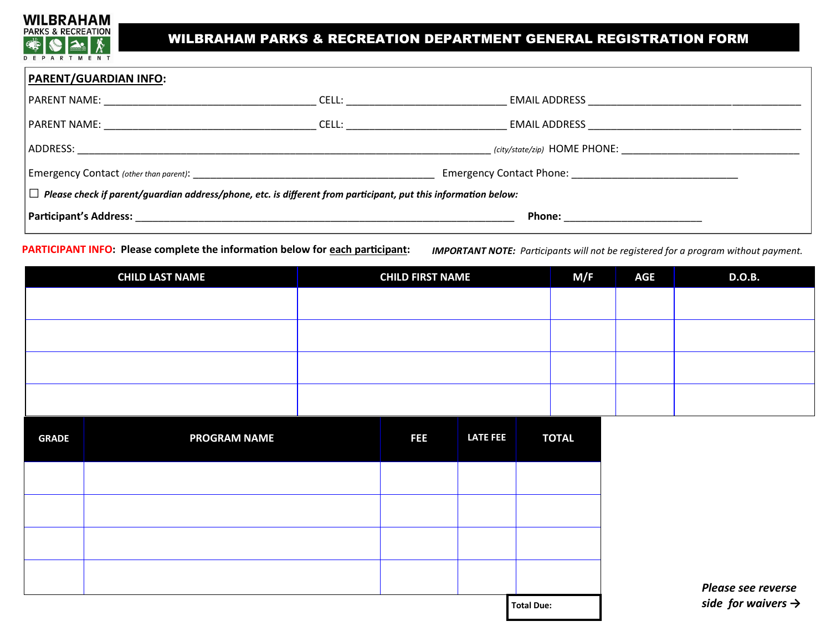

# WILBRAHAM PARKS & RECREATION DEPARTMENT GENERAL REGISTRATION FORM

| <b>PARENT/GUARDIAN INFO:</b>                                                                                             |                                                   |                              |  |  |  |  |  |
|--------------------------------------------------------------------------------------------------------------------------|---------------------------------------------------|------------------------------|--|--|--|--|--|
| PARENT NAME: NAMER                                                                                                       | CELL:                                             | <b>EMAIL ADDRESS</b>         |  |  |  |  |  |
|                                                                                                                          | CELL: _______________________                     |                              |  |  |  |  |  |
| ADDRESS:                                                                                                                 |                                                   | (city/state/zip) HOME PHONE: |  |  |  |  |  |
|                                                                                                                          | Emergency Contact Phone: Emergency Contact Phone: |                              |  |  |  |  |  |
| $ \Box\>$ Please check if parent/guardian address/phone, etc. is different from participant, put this information below: |                                                   |                              |  |  |  |  |  |
| <b>Participant's Address:</b>                                                                                            |                                                   | <b>Phone:</b>                |  |  |  |  |  |

**PARTICIPANT INFO: Please complete the information below for each participant:** 

*IMPORTANT NOTE: Participants will not be registered for a program without payment.*

|              | <b>CHILD LAST NAME</b> | <b>CHILD FIRST NAME</b> |                 |                   | M/F          | <b>AGE</b> | <b>D.O.B.</b>                  |
|--------------|------------------------|-------------------------|-----------------|-------------------|--------------|------------|--------------------------------|
|              |                        |                         |                 |                   |              |            |                                |
|              |                        |                         |                 |                   |              |            |                                |
|              |                        |                         |                 |                   |              |            |                                |
|              |                        |                         |                 |                   |              |            |                                |
| <b>GRADE</b> | <b>PROGRAM NAME</b>    | <b>FEE</b>              | <b>LATE FEE</b> |                   | <b>TOTAL</b> |            |                                |
|              |                        |                         |                 |                   |              |            |                                |
|              |                        |                         |                 |                   |              |            |                                |
|              |                        |                         |                 |                   |              |            |                                |
|              |                        |                         |                 |                   |              |            | Please see reverse             |
|              |                        |                         |                 | <b>Total Due:</b> |              |            | side for waivers $\rightarrow$ |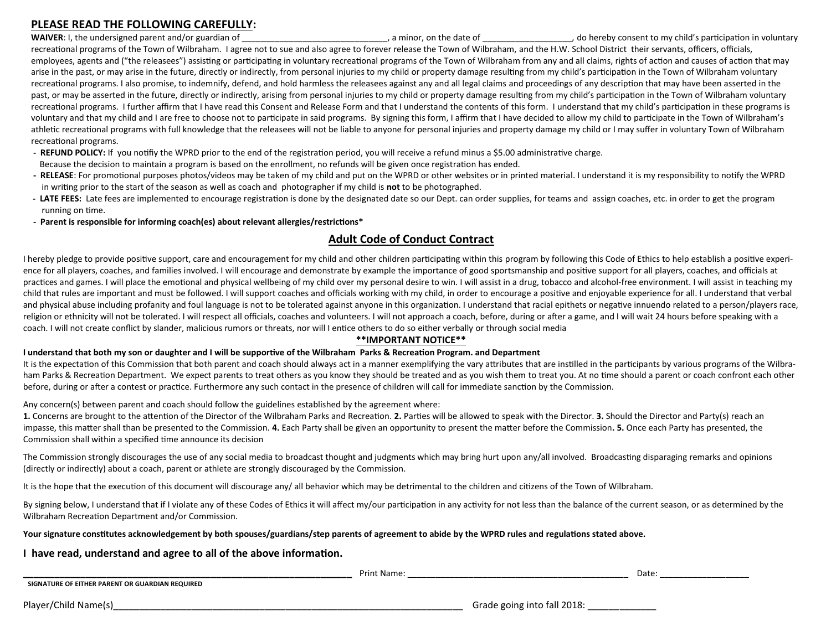# **PLEASE READ THE FOLLOWING CAREFULLY:**

WAIVER: I, the undersigned parent and/or guardian of **WAIVER: 1, the undersigned parent and/or guardian of**  $\blacksquare$  **.** a minor, on the date of  $\blacksquare$ , do hereby consent to my child's participation in voluntary recreational programs of the Town of Wilbraham. I agree not to sue and also agree to forever release the Town of Wilbraham, and the H.W. School District their servants, officers, officials, employees, agents and ("the releasees") assisting or participating in voluntary recreational programs of the Town of Wilbraham from any and all claims, rights of action and causes of action that may arise in the past, or may arise in the future, directly or indirectly, from personal injuries to my child or property damage resulting from my child's participation in the Town of Wilbraham voluntary recreational programs. I also promise, to indemnify, defend, and hold harmless the releasees against any and all legal claims and proceedings of any description that may have been asserted in the past, or may be asserted in the future, directly or indirectly, arising from personal injuries to my child or property damage resulting from my child's participation in the Town of Wilbraham voluntary recreational programs. I further affirm that I have read this Consent and Release Form and that I understand the contents of this form. I understand that my child's participation in these programs is voluntary and that my child and I are free to choose not to participate in said programs. By signing this form, I affirm that I have decided to allow my child to participate in the Town of Wilbraham's athletic recreational programs with full knowledge that the releasees will not be liable to anyone for personal injuries and property damage my child or I may suffer in voluntary Town of Wilbraham recreational programs.

- **- REFUND POLICY:** If you notifiy the WPRD prior to the end of the registration period, you will receive a refund minus a \$5.00 administrative charge. Because the decision to maintain a program is based on the enrollment, no refunds will be given once registration has ended.
- **- RELEASE**: For promotional purposes photos/videos may be taken of my child and put on the WPRD or other websites or in printed material. I understand it is my responsibility to notify the WPRD in writing prior to the start of the season as well as coach and photographer if my child is **not** to be photographed.
- **- LATE FEES:** Late fees are implemented to encourage registration is done by the designated date so our Dept. can order supplies, for teams and assign coaches, etc. in order to get the program running on time.
- **- Parent is responsible for informing coach(es) about relevant allergies/restrictions\***

## **Adult Code of Conduct Contract**

I hereby pledge to provide positive support, care and encouragement for my child and other children participating within this program by following this Code of Ethics to help establish a positive experience for all players, coaches, and families involved. I will encourage and demonstrate by example the importance of good sportsmanship and positive support for all players, coaches, and officials at practices and games. I will place the emotional and physical wellbeing of my child over my personal desire to win. I will assist in a drug, tobacco and alcohol-free environment. I will assist in teaching my child that rules are important and must be followed. I will support coaches and officials working with my child, in order to encourage a positive and enjoyable experience for all. I understand that verbal and physical abuse including profanity and foul language is not to be tolerated against anyone in this organization. I understand that racial epithets or negative innuendo related to a person/players race, religion or ethnicity will not be tolerated. I will respect all officials, coaches and volunteers. I will not approach a coach, before, during or after a game, and I will wait 24 hours before speaking with a coach. I will not create conflict by slander, malicious rumors or threats, nor will I entice others to do so either verbally or through social media

#### **\*\*IMPORTANT NOTICE\*\***

#### **I understand that both my son or daughter and I will be supportive of the Wilbraham Parks & Recreation Program. and Department**

It is the expectation of this Commission that both parent and coach should always act in a manner exemplifying the vary attributes that are instilled in the participants by various programs of the Wilbraham Parks & Recreation Department. We expect parents to treat others as you know they should be treated and as you wish them to treat you. At no time should a parent or coach confront each other before, during or after a contest or practice. Furthermore any such contact in the presence of children will call for immediate sanction by the Commission.

Any concern(s) between parent and coach should follow the guidelines established by the agreement where:

**1.** Concerns are brought to the attention of the Director of the Wilbraham Parks and Recreation. **2.** Parties will be allowed to speak with the Director. **3.** Should the Director and Party(s) reach an impasse, this matter shall than be presented to the Commission. **4.** Each Party shall be given an opportunity to present the matter before the Commission**. 5.** Once each Party has presented, the Commission shall within a specified time announce its decision

The Commission strongly discourages the use of any social media to broadcast thought and judgments which may bring hurt upon any/all involved. Broadcasting disparaging remarks and opinions (directly or indirectly) about a coach, parent or athlete are strongly discouraged by the Commission.

It is the hope that the execution of this document will discourage any/ all behavior which may be detrimental to the children and citizens of the Town of Wilbraham.

By signing below, I understand that if I violate any of these Codes of Ethics it will affect my/our participation in any activity for not less than the balance of the current season, or as determined by the Wilbraham Recreation Department and/or Commission.

#### **Your signature constitutes acknowledgement by both spouses/guardians/step parents of agreement to abide by the WPRD rules and regulations stated above.**

## **I have read, understand and agree to all of the above information.**

|                                                 | Print Name |                            | Date |
|-------------------------------------------------|------------|----------------------------|------|
| SIGNATURE OF EITHER PARENT OR GUARDIAN REQUIRED |            |                            |      |
| Player/Child Name(s                             |            | Grade going into fall 2018 |      |